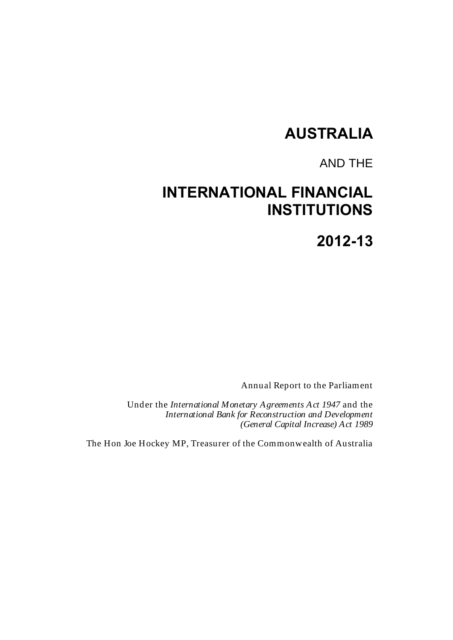# **AUSTRALIA**

# AND THE

# **INTERNATIONAL FINANCIAL INSTITUTIONS**

**2012-13**

Annual Report to the Parliament

Under the *International Monetary Agreements Act 1947* and the *International Bank for Reconstruction and Development (General Capital Increase) Act 1989*

The Hon Joe Hockey MP, Treasurer of the Commonwealth of Australia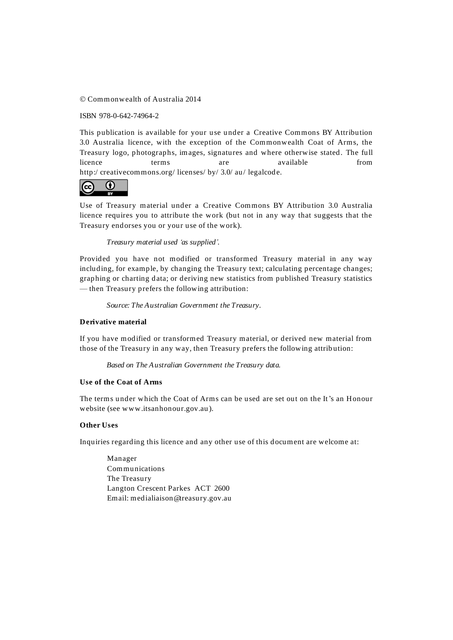Commonwealth of Australia 2014

ISBN 978-0-642-74964-2

This publication is available for your use under a [Creative Commons BY Attribution](http://creativecommons.org/licenses/by/3.0/au/deed.en)  [3.0 Australia](http://creativecommons.org/licenses/by/3.0/au/deed.en) licence, with the exception of the Commonwealth Coat of Arms, the Treasury logo, photographs, images, signatures and where otherwise stated. The full licence terms are available from http:/ [creativecommons.org/ licenses/ by/ 3.0/ au/](http://creativecommons.org/licenses/by/3.0/au/legalcode) legalcode.

#### $\left(\overline{cc}\right)$  $\bf \Theta$

Use of Treasury material under a [Creative Commons BY Attribution 3.0 Australia](http://creativecommons.org/licenses/by/3.0/au/deed.en) licence requires you to attribute the work (but not in any way that suggests that the Treasury endorses you or your use of the work).

*Treasury material used 'as supplied'.*

Provided you have not modified or transformed Treasury material in any way including, for example, by changing the Treasury text; calculating percentage changes; graphing or charting data; or deriving new statistics from published Treasury statistics — then Treasury prefers the following attribution:

*Source: The Australian Government the Treasury.*

#### **Derivative material**

If you have modified or transformed Treasury material, or derived new material from those of the Treasury in any way, then Treasury prefers the following attrib ution:

*Based on The Australian Government the Treasury data.*

#### **Use of the Coat of Arms**

The terms under which the Coat of Arms can be used are set out on the It's an Honour website (see [www.itsanhonour.gov.au](http://www.itsanhonour.gov.au/) ).

#### **Other Uses**

Inquiries regarding this licence and any other use of this document are welcome at:

Manager Communications The Treasury Langton Crescent Parkes ACT 2600 Email[: medialiaison@treasury.gov.au](mailto:medialiaison@treasury.gov.au)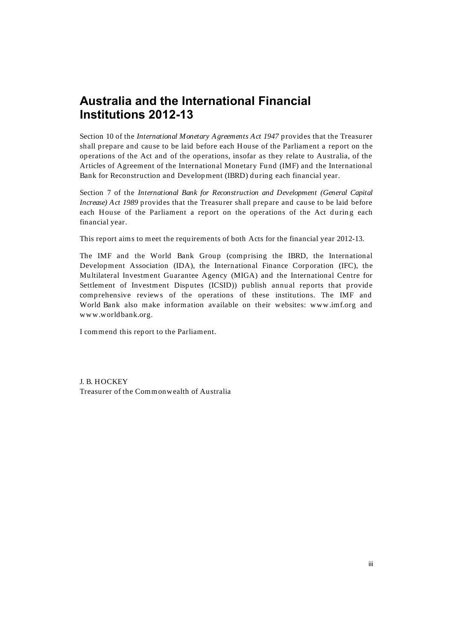Section 10 of the *International Monetary Agreements Act 1947* provides that the Treasurer shall prepare and cause to be laid before each House of the Parliament a report on the operations of the Act and of the operations, insofar as they relate to Australia, of the Articles of Agreement of the International Monetary Fund (IMF) and the International Bank for Reconstruction and Development (IBRD) during each financial year.

Section 7 of the *International Bank for Reconstruction and Development (General Capital Increase) Act 1989* provides that the Treasurer shall prepare and cause to be laid before each House of the Parliament a report on the operations of the Act during each financial year.

This report aims to meet the requirements of both Acts for the financial year 2012-13.

The IMF and the World Bank Group (comprising the IBRD, the International Development Association (IDA), the International Finance Corporation (IFC), the Multilateral Investment Guarantee Agency (MIGA) and the International Centre for Settlement of Investment Disputes (ICSID)) publish annual reports that provide comprehensive reviews of the operations of these institutions. The IMF and World Bank also make information available on their websites: [www.imf.org](http://www.imf.org/) and www.worldbank.org.

I commend this report to the Parliament.

J. B. HOCKEY Treasurer of the Commonwealth of Australia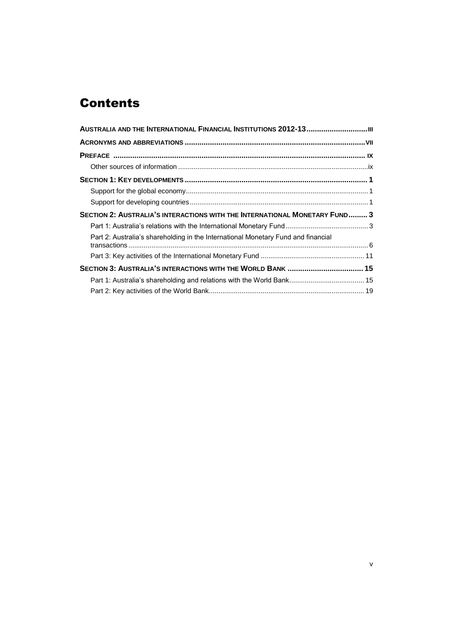# **Contents**

| SECTION 2: AUSTRALIA'S INTERACTIONS WITH THE INTERNATIONAL MONETARY FUND 3        |  |
|-----------------------------------------------------------------------------------|--|
|                                                                                   |  |
| Part 2: Australia's shareholding in the International Monetary Fund and financial |  |
|                                                                                   |  |
|                                                                                   |  |
|                                                                                   |  |
|                                                                                   |  |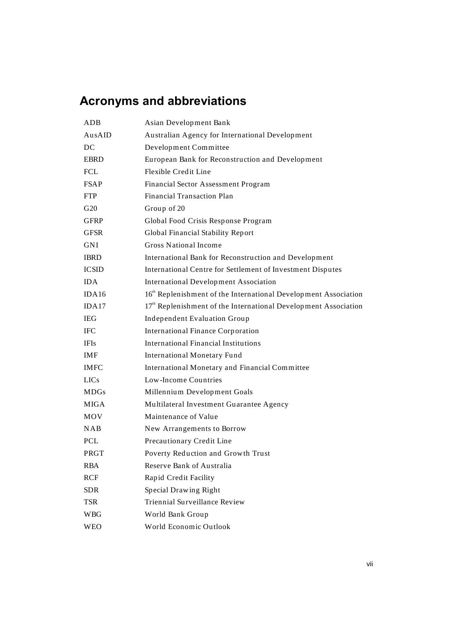# **Acronyms and abbreviations**

| ADB          | Asian Development Bank                                                      |
|--------------|-----------------------------------------------------------------------------|
| AusAID       | Australian Agency for International Development                             |
| DC           | Development Committee                                                       |
| <b>EBRD</b>  | European Bank for Reconstruction and Development                            |
| <b>FCL</b>   | Flexible Credit Line                                                        |
| <b>FSAP</b>  | Financial Sector Assessment Program                                         |
| <b>FTP</b>   | <b>Financial Transaction Plan</b>                                           |
| G20          | Group of 20                                                                 |
| <b>GFRP</b>  | Global Food Crisis Response Program                                         |
| <b>GFSR</b>  | Global Financial Stability Report                                           |
| <b>GNI</b>   | <b>Gross National Income</b>                                                |
| <b>IBRD</b>  | International Bank for Reconstruction and Development                       |
| <b>ICSID</b> | International Centre for Settlement of Investment Disputes                  |
| <b>IDA</b>   | <b>International Development Association</b>                                |
| IDA16        | 16 <sup>th</sup> Replenishment of the International Development Association |
| IDA17        | 17 <sup>th</sup> Replenishment of the International Development Association |
| <b>IEG</b>   | Independent Evaluation Group                                                |
| <b>IFC</b>   | <b>International Finance Corporation</b>                                    |
| <b>IFIs</b>  | <b>International Financial Institutions</b>                                 |
| <b>IMF</b>   | <b>International Monetary Fund</b>                                          |
| <b>IMFC</b>  | International Monetary and Financial Committee                              |
| <b>LICs</b>  | Low-Income Countries                                                        |
| <b>MDGs</b>  | Millennium Development Goals                                                |
| <b>MIGA</b>  | Multilateral Investment Guarantee Agency                                    |
| <b>MOV</b>   | Maintenance of Value                                                        |
| NAB          | New Arrangements to Borrow                                                  |
| <b>PCL</b>   | Precautionary Credit Line                                                   |
| PRGT         | Poverty Reduction and Growth Trust                                          |
| <b>RBA</b>   | Reserve Bank of Australia                                                   |
| RCF          | Rapid Credit Facility                                                       |
| <b>SDR</b>   | Special Drawing Right                                                       |
| <b>TSR</b>   | Triennial Surveillance Review                                               |
| <b>WBG</b>   | World Bank Group                                                            |
| <b>WEO</b>   | World Economic Outlook                                                      |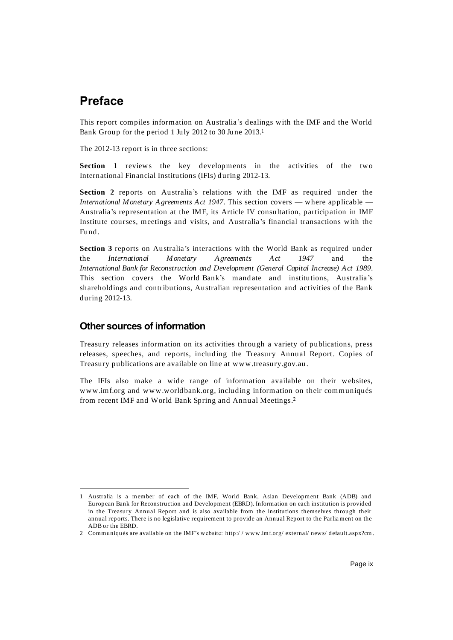## **Preface**

This report compiles information on Australia's dealings with the IMF and the World Bank Group for the period 1 July 2012 to 30 June 2013. 1

The 2012-13 report is in three sections:

**Section 1** reviews the key developments in the activities of the two International Financial Institutions (IFIs) during 2012-13.

**Section 2** reports on Australia's relations with the IMF as required under the *International Monetary Agreements Act 1947*. This section covers — where applicable — Australia's representation at the IMF, its Article IV consultation, participation in IMF Institute courses, meetings and visits, and Australia's financial transactions with the Fund.

**Section 3** reports on Australia's interactions with the World Bank as required under the *International Monetary Agreements Act 1947* and the *International Bank for Reconstruction and Development (General Capital Increase) Act 1989*. This section covers the World-Bank's mandate and institutions, Australia's shareholdings and contributions, Australian representation and activities of the Bank during 2012-13.

## **Other sources of information**

Treasury releases information on its activities through a variety of publications, press releases, speeches, and reports, including the Treasury Annual Report. Copies of Treasury publications are available on line at [www.treasury.gov.au.](http://www.treasury.gov.au/)

The IFIs also make a wide range of information available on their websites, www.imf.org and www.worldbank.org, including information on their communiqués from recent IMF and World Bank Spring and Annual Meetings. 2

<sup>-</sup>1 Australia is a member of each of the IMF, World Bank, Asian Development Bank (ADB) and European Bank for Reconstruction and Development (EBRD). Information on each institution is provided in the Treasury Annual Report and is also available from the institutions themselves through their annual reports. There is no legislative requirement to provide an Annual Report to the Parliament on the ADB or the EBRD.

<sup>2</sup> Communiqués are available on the IMF's website: http:/ / www.imf.org/ external/ news/ default.aspx?cm.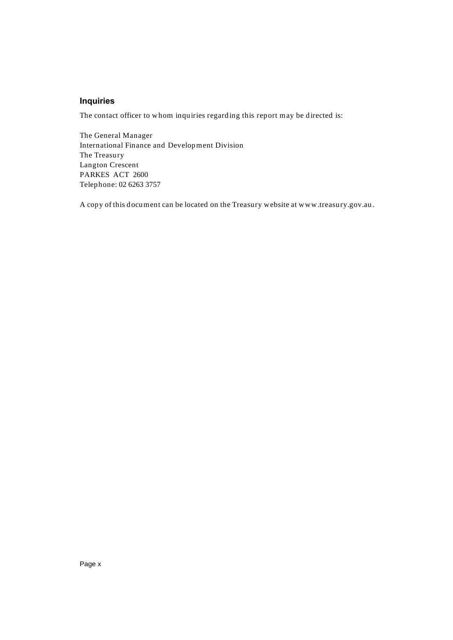## **Inquiries**

The contact officer to whom inquiries regarding this report may be directed is:

The General Manager International Finance and Development Division The Treasury Langton Crescent PARKES ACT 2600 Telephone: 02 6263 3757

A copy of this document can be located on the Treasury website at [www.treasury.gov.au.](http://www.treasury.gov.au/)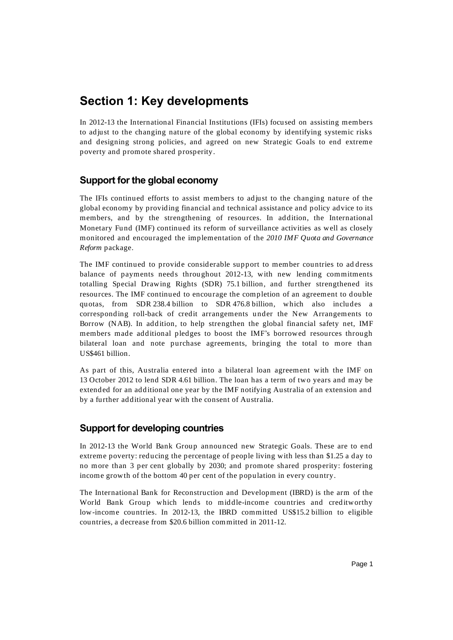## **Section 1: Key developments**

In 2012-13 the International Financial Institutions (IFIs) focused on assisting members to adjust to the changing nature of the global economy by identifying systemic risks and designing strong policies, and agreed on new Strategic Goals to end extreme poverty and promote shared prosperity.

## **Support for the global economy**

The IFIs continued efforts to assist members to ad just to the changing nature of the global economy by providing financial and technical assistance and policy advice to its members, and by the strengthening of resources. In addition, the International Monetary Fund (IMF) continued its reform of surveillance activities as well as closely monitored and encouraged the implementation of the *2010 IMF Quota and Governance Reform* package.

The IMF continued to provide considerable support to member countries to ad dress balance of payments needs throughout 2012-13, with new lending commitments totalling Special Drawing Rights (SDR) 75.1 billion, and further strengthened its resources. The IMF continued to encourage the completion of an agreement to double quotas, from SDR 238.4 billion to SDR 476.8 billion, which also includes a corresponding roll-back of credit arrangements under the New Arrangements to Borrow (NAB). In addition, to help strengthen the global financial safety net, IMF members made additional pledges to boost the IMF's borrowed resources through bilateral loan and note purchase agreements, bringing the total to more than US\$461 billion.

As part of this, Australia entered into a bilateral loan agreement with the IMF on 13 October 2012 to lend SDR 4.61 billion. The loan has a term of two years and may be extended for an additional one year by the IMF notifying Australia of an extension and by a further additional year with the consent of Australia.

## **Support for developing countries**

In 2012-13 the World Bank Group announced new Strategic Goals. These are to end extreme poverty: reducing the percentage of people living with less than \$1.25 a day to no more than 3 per cent globally by 2030; and promote shared prosperity: fostering income growth of the bottom 40 per cent of the population in every country.

The International Bank for Reconstruction and Development (IBRD) is the arm of the World Bank Group which lends to middle-income countries and creditworthy low-income countries. In 2012-13, the IBRD committed US\$15.2 billion to eligible countries, a decrease from \$20.6 billion committed in 2011-12.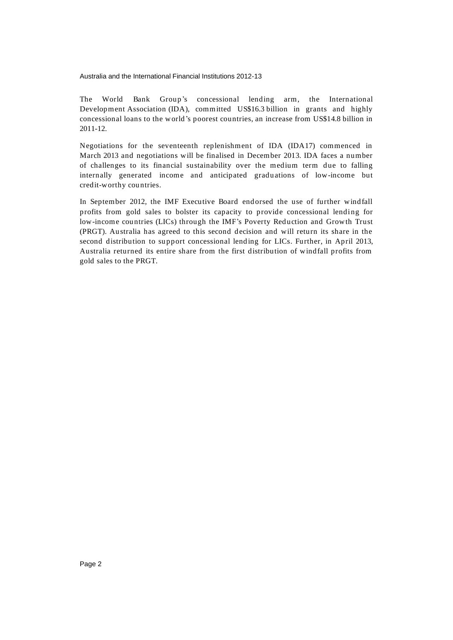The World Bank Group's concessional lending arm, the International Development Association (IDA), committed US\$16.3 billion in grants and highly concessional loans to the world 's poorest countries, an increase from US\$14.8 billion in 2011-12.

Negotiations for the seventeenth replenishment of IDA (IDA17) commenced in March 2013 and negotiations will be finalised in December 2013. IDA faces a number of challenges to its financial sustainability over the medium term due to falling internally generated income and anticipated graduations of low-income but credit-worthy countries.

In September 2012, the IMF Executive Board end orsed the use of further windfall profits from gold sales to bolster its capacity to provide concessional lending for low-income countries (LICs) through the IMF's Poverty Reduction and Growth Trust (PRGT). Australia has agreed to this second decision and will return its share in the second distribution to support concessional lend ing for LICs. Further, in April 2013, Australia returned its entire share from the first distribution of windfall profits from gold sales to the PRGT.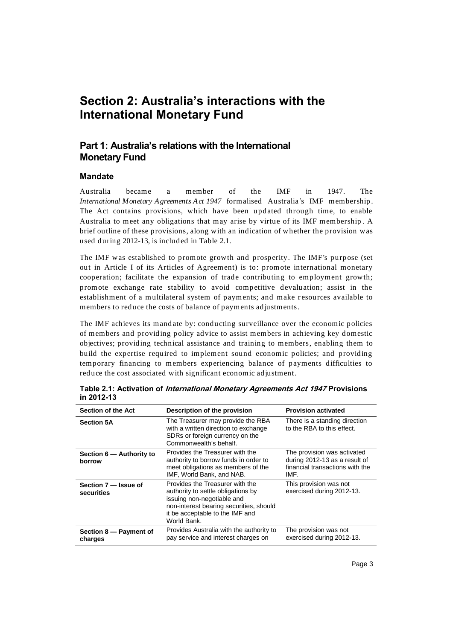# **Section 2: Australia's interactions with the International Monetary Fund**

## **Part 1: Australia's relations with the International Monetary Fund**

## **Mandate**

Australia became a member of the IMF in 1947. The *International Monetary Agreements Act 1947* formalised Australia's IMF membership . The Act contains provisions, which have been updated through time, to enable Australia to meet any obligations that may arise by virtue of its IMF membership . A brief outline of these provisions, along with an indication of whether the provision was used during 2012-13, is included in Table 2.1.

The IMF was established to promote growth and prosperity. The IMF's purpose (set out in Article I of its Articles of Agreement) is to: promote international monetary cooperation; facilitate the expansion of trade contributing to employment growth; promote exchange rate stability to avoid competitive devaluation; assist in the establishment of a multilateral system of payments; and make resources available to members to reduce the costs of balance of payments ad justments.

The IMF achieves its mand ate by: conducting surveillance over the economic policies of members and providing policy advice to assist members in achieving key domestic objectives; providing technical assistance and training to members, enabling them to build the expertise required to implement sound economic policies; and providing temporary financing to members experiencing balance of payments difficulties to reduce the cost associated with significant economic adjustment.

| <b>Section of the Act</b>          | Description of the provision                                                                                                                                                                     | <b>Provision activated</b>                                                                              |
|------------------------------------|--------------------------------------------------------------------------------------------------------------------------------------------------------------------------------------------------|---------------------------------------------------------------------------------------------------------|
| <b>Section 5A</b>                  | The Treasurer may provide the RBA<br>with a written direction to exchange<br>SDRs or foreign currency on the<br>Commonwealth's behalf.                                                           | There is a standing direction<br>to the RBA to this effect.                                             |
| Section 6 – Authority to<br>borrow | Provides the Treasurer with the<br>authority to borrow funds in order to<br>meet obligations as members of the<br>IMF, World Bank, and NAB.                                                      | The provision was activated<br>during 2012-13 as a result of<br>financial transactions with the<br>IMF. |
| Section 7 – Issue of<br>securities | Provides the Treasurer with the<br>authority to settle obligations by<br>issuing non-negotiable and<br>non-interest bearing securities, should<br>it be acceptable to the IMF and<br>World Bank. | This provision was not<br>exercised during 2012-13.                                                     |
| Section 8 – Payment of<br>charges  | Provides Australia with the authority to<br>pay service and interest charges on                                                                                                                  | The provision was not<br>exercised during 2012-13.                                                      |

**Table 2.1: Activation of International Monetary Agreements Act 1947 Provisions in 2012-13**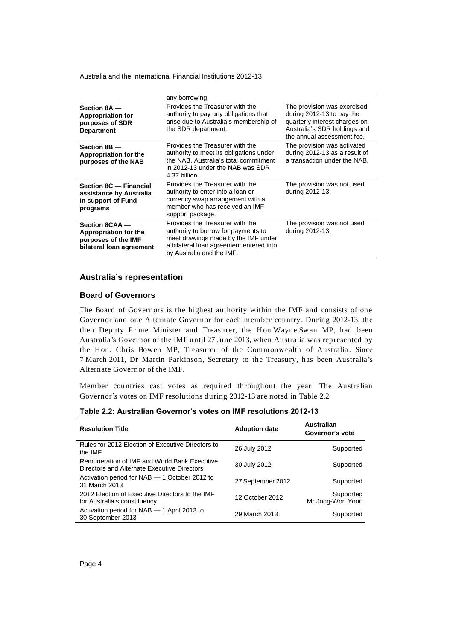|                                                                                            | any borrowing.                                                                                                                                                                        |                                                                                                                                                         |
|--------------------------------------------------------------------------------------------|---------------------------------------------------------------------------------------------------------------------------------------------------------------------------------------|---------------------------------------------------------------------------------------------------------------------------------------------------------|
| Section 8A -<br><b>Appropriation for</b><br>purposes of SDR<br><b>Department</b>           | Provides the Treasurer with the<br>authority to pay any obligations that<br>arise due to Australia's membership of<br>the SDR department.                                             | The provision was exercised<br>during 2012-13 to pay the<br>quarterly interest charges on<br>Australia's SDR holdings and<br>the annual assessment fee. |
| Section 8B -<br>Appropriation for the<br>purposes of the NAB                               | Provides the Treasurer with the<br>authority to meet its obligations under<br>the NAB. Australia's total commitment<br>in 2012-13 under the NAB was SDR<br>4.37 billion.              | The provision was activated<br>during 2012-13 as a result of<br>a transaction under the NAB.                                                            |
| Section 8C - Financial<br>assistance by Australia<br>in support of Fund<br>programs        | Provides the Treasurer with the<br>authority to enter into a loan or<br>currency swap arrangement with a<br>member who has received an IMF<br>support package.                        | The provision was not used<br>during 2012-13.                                                                                                           |
| Section 8CAA -<br>Appropriation for the<br>purposes of the IMF<br>bilateral loan agreement | Provides the Treasurer with the<br>authority to borrow for payments to<br>meet drawings made by the IMF under<br>a bilateral loan agreement entered into<br>by Australia and the IMF. | The provision was not used<br>during 2012-13.                                                                                                           |

## **Australia's representation**

### **Board of Governors**

The Board of Governors is the highest authority within the IMF and consists of one Governor and one Alternate Governor for each member country. During 2012-13, the then Deputy Prime Minister and Treasurer, the Hon Wayne Swan MP, had been Australia's Governor of the IMF until 27 June 2013, when Australia was represented by the Hon. Chris Bowen MP, Treasurer of the Commonwealth of Australia. Since 7 March 2011, Dr Martin Parkinson, Secretary to the Treasury, has been Australia's Alternate Governor of the IMF.

Member countries cast votes as required throughout the year. The Australian Governor's votes on IMF resolutions during 2012-13 are noted in Table 2.2.

|  |  | Table 2.2: Australian Governor's votes on IMF resolutions 2012-13 |
|--|--|-------------------------------------------------------------------|
|--|--|-------------------------------------------------------------------|

| <b>Resolution Title</b>                                                                     | <b>Adoption date</b> | Australian<br>Governor's vote |
|---------------------------------------------------------------------------------------------|----------------------|-------------------------------|
| Rules for 2012 Election of Executive Directors to<br>the IMF                                | 26 July 2012         | Supported                     |
| Remuneration of IMF and World Bank Executive<br>Directors and Alternate Executive Directors | 30 July 2012         | Supported                     |
| Activation period for NAB - 1 October 2012 to<br>31 March 2013                              | 27 September 2012    | Supported                     |
| 2012 Election of Executive Directors to the IMF<br>for Australia's constituency             | 12 October 2012      | Supported<br>Mr Jong-Won Yoon |
| Activation period for NAB - 1 April 2013 to<br>30 September 2013                            | 29 March 2013        | Supported                     |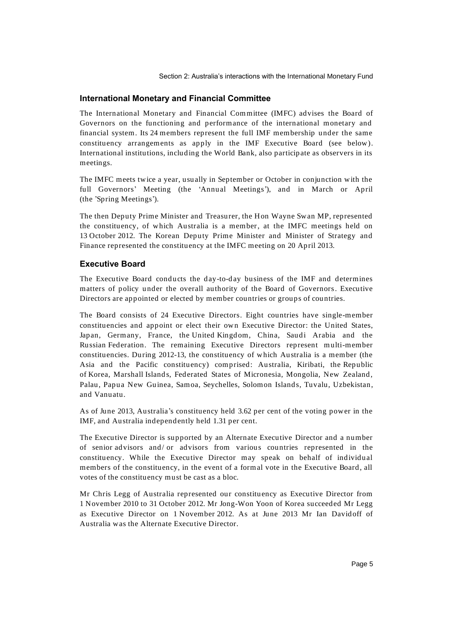Section 2: Australia's interactions with the International Monetary Fund

## **International Monetary and Financial Committee**

The International Monetary and Financial Committee (IMFC) advises the Board of Governors on the functioning and performance of the international monetary and financial system. Its 24 members represent the full IMF membership under the same constituency arrangements as apply in the IMF Executive Board (see below). International institutions, including the World Bank, also participate as observers in its meetings.

The IMFC meets twice a year, usually in September or October in conjunction with the full Governors' Meeting (the 'Annual Meetings'), and in March or April (the 'Spring Meetings').

The then Deputy Prime Minister and Treasurer, the Hon Wayne Swan MP, represented the constituency, of which Australia is a member, at the IMFC meetings held on 13 October 2012. The Korean Deputy Prime Minister and Minister of Strategy and Finance represented the constituency at the IMFC meeting on 20 April 2013.

## **Executive Board**

The Executive Board conducts the day-to-day business of the IMF and determines matters of policy under the overall authority of the Board of Governors. Executive Directors are appointed or elected by member countries or groups of countries.

The Board consists of 24 Executive Directors. Eight countries have single-member constituencies and appoint or elect their own Executive Director: the United States, Japan, Germany, France, the United Kingdom, China, Saudi Arabia and the Russian Federation. The remaining Executive Directors represent multi-member constituencies. During 2012-13, the constituency of which Australia is a member (the Asia and the Pacific constituency) comprised: Australia, Kiribati, the Republic of Korea, Marshall Island s, Federated States of Micronesia, Mongolia, New Zealand, Palau, Papua New Guinea, Samoa, Seychelles, Solomon Islands, Tuvalu, Uzbekistan, and Vanuatu.

As of June 2013, Australia's constituency held 3.62 per cent of the voting power in the IMF, and Australia independently held 1.31 per cent.

The Executive Director is supported by an Alternate Executive Director and a number of senior advisors and/ or advisors from various countries represented in the constituency. While the Executive Director may speak on behalf of individual members of the constituency, in the event of a formal vote in the Executive Board, all votes of the constituency must be cast as a bloc.

Mr Chris Legg of Australia represented our constituency as Executive Director from 1 November 2010 to 31 October 2012. Mr Jong-Won Yoon of Korea succeeded Mr Legg as Executive Director on 1 November 2012. As at June 2013 Mr Ian Davidoff of Australia was the Alternate Executive Director.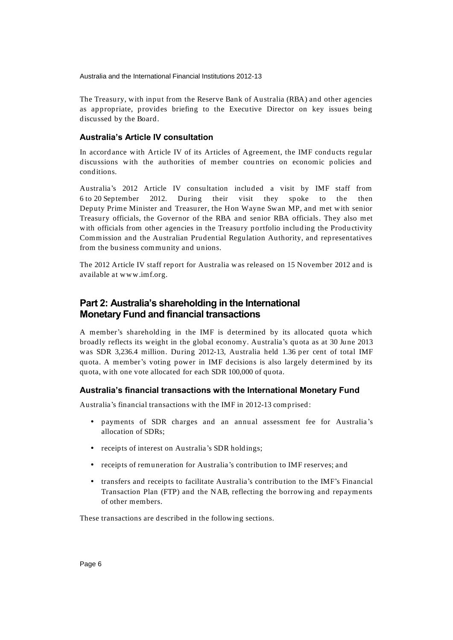The Treasury, with input from the Reserve Bank of Australia (RBA) and other agencies as appropriate, provides briefing to the Executive Director on key issues being discussed by the Board.

## **Australia's Article IV consultation**

In accord ance with Article IV of its Articles of Agreement, the IMF conducts regular discussions with the authorities of member countries on economic policies and conditions.

Australia's 2012 Article IV consultation included a visit by IMF staff from 6 to 20 September 2012. During their visit they spoke to the then Deputy Prime Minister and Treasurer, the Hon Wayne Swan MP, and met with senior Treasury officials, the Governor of the RBA and senior RBA officials. They also met with officials from other agencies in the Treasury portfolio including the Productivity Commission and the Australian Prudential Regulation Authority, and representatives from the business community and unions.

The 2012 Article IV staff report for Australia was released on 15 November 2012 and is available at [www.imf.org.](http://www.imf.org/)

## **Part 2: Australia's shareholding in the International Monetary Fund and financial transactions**

A member's shareholding in the IMF is determined by its allocated quota which broadly reflects its weight in the global economy. Australia's quota as at 30 June 2013 was SDR 3,236.4 million. During 2012-13, Australia held 1.36 per cent of total IMF quota. A member's voting power in IMF decisions is also largely determined by its quota, with one vote allocated for each SDR 100,000 of quota.

## **Australia's financial transactions with the International Monetary Fund**

Australia's financial transactions with the IMF in 2012-13 comprised:

- payments of SDR charges and an annual assessment fee for Australia 's allocation of SDRs;
- receipts of interest on Australia's SDR holdings;
- receipts of remuneration for Australia's contribution to IMF reserves; and
- transfers and receipts to facilitate Australia's contribution to the IMF's Financial Transaction Plan (FTP) and the NAB, reflecting the borrowing and repayments of other members.

These transactions are described in the following sections.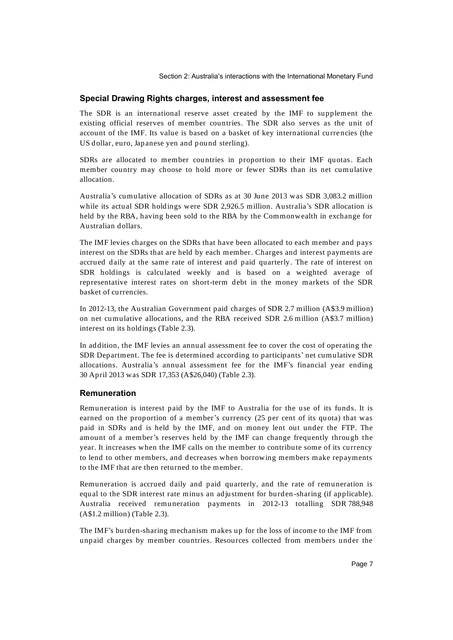Section 2: Australia's interactions with the International Monetary Fund

## **Special Drawing Rights charges, interest and assessment fee**

The SDR is an international reserve asset created by the IMF to supplement the existing official reserves of member countries. The SDR also serves as the unit of account of the IMF. Its value is based on a basket of key international currencies (the US dollar, euro, Japanese yen and pound sterling).

SDRs are allocated to member countries in proportion to their IMF quotas. Each member country may choose to hold more or fewer SDRs than its net cumulative allocation.

Australia's cumulative allocation of SDRs as at 30 June 2013 was SDR 3,083.2 million while its actual SDR holdings were SDR 2,926.5 million. Australia's SDR allocation is held by the RBA, having been sold to the RBA by the Commonwealth in exchange for Australian dollars.

The IMF levies charges on the SDRs that have been allocated to each member and pays interest on the SDRs that are held by each member. Charges and interest payments are accrued daily at the same rate of interest and paid quarterly. The rate of interest on SDR holdings is calculated weekly and is based on a weighted average of representative interest rates on short-term debt in the money markets of the SDR basket of currencies.

In 2012-13, the Australian Government paid charges of SDR 2.7 million (A\$3.9 million) on net cumulative allocations, and the RBA received SDR 2.6 million (A\$3.7 million) interest on its holdings (Table 2.3).

In addition, the IMF levies an annual assessment fee to cover the cost of operating the SDR Department. The fee is determined according to participants' net cumulative SDR allocations. Australia's annual assessment fee for the IMF's financial year ending 30 April 2013 was SDR 17,353 (A\$26,040) (Table 2.3).

## **Remuneration**

Remuneration is interest paid by the IMF to Australia for the use of its funds. It is earned on the proportion of a member's currency (25 per cent of its quota) that was paid in SDRs and is held by the IMF, and on money lent out under the FTP. The amount of a member's reserves held by the IMF can change frequently through the year. It increases when the IMF calls on the member to contribute some of its currency to lend to other members, and decreases when borrowing members make repayments to the IMF that are then returned to the member.

Remuneration is accrued daily and paid quarterly, and the rate of remuneration is equal to the SDR interest rate minus an adjustment for burden -sharing (if applicable). Australia received remuneration payments in 2012-13 totalling SDR 788,948 (A\$1.2 million) (Table 2.3).

The IMF's burden-sharing mechanism makes up for the loss of income to the IMF from unpaid charges by member countries. Resources collected from members under the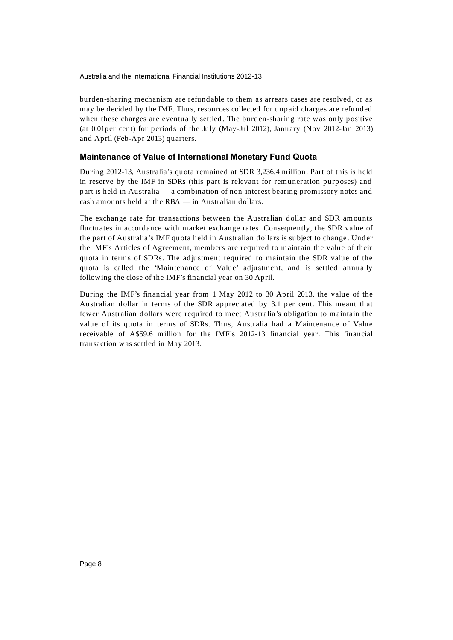burden-sharing mechanism are refundable to them as arrears cases are resolved, or as may be decided by the IMF. Thus, resources collected for unpaid charges are refunded when these charges are eventually settled . The burden-sharing rate was only positive (at 0.01per cent) for periods of the July (May-Jul 2012), January (Nov 2012-Jan 2013) and April (Feb-Apr 2013) quarters.

## **Maintenance of Value of International Monetary Fund Quota**

During 2012-13, Australia's quota remained at SDR 3,236.4 million. Part of this is held in reserve by the IMF in SDRs (this part is relevant for remuneration purposes) and part is held in Australia — a combination of non-interest bearing promissory notes and cash amounts held at the RBA — in Australian dollars.

The exchange rate for transactions between the Australian dollar and SDR amounts fluctuates in accord ance with market exchange rates. Consequently, the SDR value of the part of Australia's IMF quota held in Australian d ollars is subject to change. Under the IMF's Articles of Agreement, members are required to maintain the value of their quota in terms of SDRs. The ad justment required to maintain the SDR value of the quota is called the 'Maintenance of Value' adjustment, and is settled annually following the close of the IMF's financial year on 30 April.

During the IMF's financial year from 1 May 2012 to 30 April 2013, the value of the Australian dollar in terms of the SDR appreciated by 3.1 per cent. This meant that fewer Australian dollars were required to meet Australia 's obligation to maintain the value of its quota in terms of SDRs. Thus, Australia had a Maintenance of Value receivable of A\$59.6 million for the IMF's 2012-13 financial year. This financial transaction was settled in May 2013.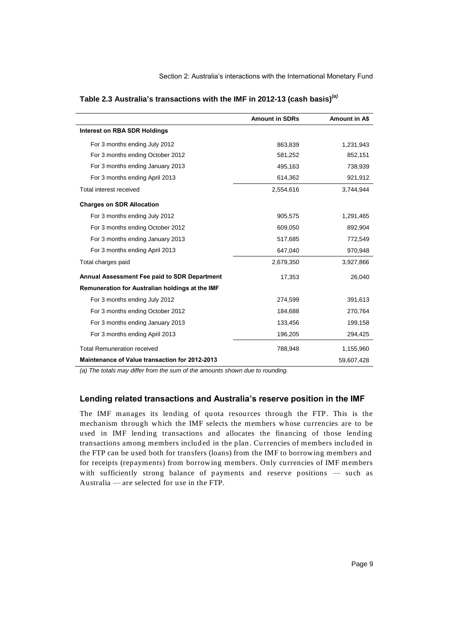|                                                 | <b>Amount in SDRs</b> | Amount in A\$ |
|-------------------------------------------------|-----------------------|---------------|
| Interest on RBA SDR Holdings                    |                       |               |
| For 3 months ending July 2012                   | 863.839               | 1,231,943     |
| For 3 months ending October 2012                | 581,252               | 852,151       |
| For 3 months ending January 2013                | 495,163               | 738,939       |
| For 3 months ending April 2013                  | 614,362               | 921,912       |
| Total interest received                         | 2,554,616             | 3,744,944     |
| <b>Charges on SDR Allocation</b>                |                       |               |
| For 3 months ending July 2012                   | 905,575               | 1,291,465     |
| For 3 months ending October 2012                | 609,050               | 892,904       |
| For 3 months ending January 2013                | 517,685               | 772,549       |
| For 3 months ending April 2013                  | 647,040               | 970,948       |
| Total charges paid                              | 2,679,350             | 3,927,866     |
| Annual Assessment Fee paid to SDR Department    | 17,353                | 26,040        |
| Remuneration for Australian holdings at the IMF |                       |               |
| For 3 months ending July 2012                   | 274,599               | 391,613       |
| For 3 months ending October 2012                | 184,688               | 270,764       |
| For 3 months ending January 2013                | 133,456               | 199,158       |
| For 3 months ending April 2013                  | 196,205               | 294,425       |
| <b>Total Remuneration received</b>              | 788,948               | 1,155,960     |
| Maintenance of Value transaction for 2012-2013  |                       | 59,607,428    |

**Table 2.3 Australia's transactions with the IMF in 2012-13 (cash basis)***(a)*

*(a) The totals may differ from the sum of the amounts shown due to rounding.*

#### **Lending related transactions and Australia's reserve position in the IMF**

The IMF manages its lending of quota resources through the FTP. This is the mechanism through which the IMF selects the members whose currencies are to be used in IMF lending transactions and allocates the financing of those lending transactions among members included in the plan . Currencies of members includ ed in the FTP can be used both for transfers (loans) from the IMF to borrowing members and for receipts (repayments) from borrowing members. Only currencies of IMF members with sufficiently strong balance of payments and reserve positions — such as Australia — are selected for use in the FTP.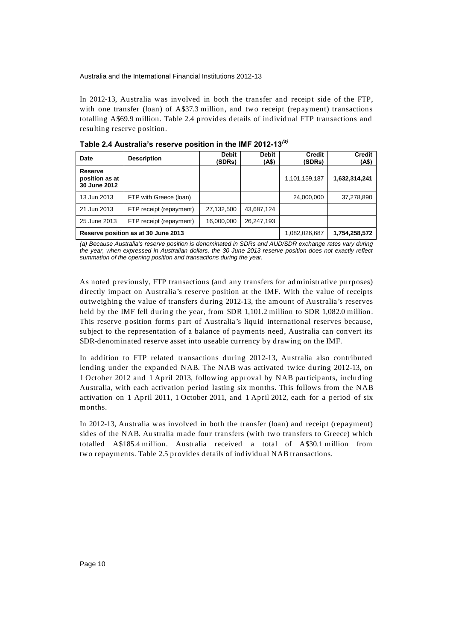In 2012-13, Australia was involved in both the transfer and receipt side of the FTP, with one transfer (loan) of A\$37.3 million, and two receipt (repayment) transactions totalling A\$69.9 million. Table 2.4 provides details of individual FTP transactions and resulting reserve position.

| <b>Date</b>                               | <b>Description</b>                  | <b>Debit</b><br>(SDRs) | Debit<br>(A\$) | <b>Credit</b><br>(SDRs) | <b>Credit</b><br>(A\$) |
|-------------------------------------------|-------------------------------------|------------------------|----------------|-------------------------|------------------------|
| Reserve<br>position as at<br>30 June 2012 |                                     |                        |                | 1,101,159,187           | 1,632,314,241          |
| 13 Jun 2013                               | FTP with Greece (loan)              |                        |                | 24,000,000              | 37,278,890             |
| 21 Jun 2013                               | FTP receipt (repayment)             | 27,132,500             | 43,687,124     |                         |                        |
| 25 June 2013                              | FTP receipt (repayment)             | 16,000,000             | 26,247,193     |                         |                        |
|                                           | Reserve position as at 30 June 2013 |                        |                | 1,082,026,687           | 1,754,258,572          |

**Table 2.4 Australia's reserve position in the IMF 2012-13(a)**

*(a) Because Australia's reserve position is denominated in SDRs and AUD/SDR exchange rates vary during the year, when expressed in Australian dollars, the 30 June 2013 reserve position does not exactly reflect summation of the opening position and transactions during the year.*

As noted previously, FTP transactions (and any transfers for ad ministrative purposes) directly impact on Australia's reserve position at the IMF. With the value of receipts outweighing the value of transfers during 2012-13, the amount of Australia's reserves held by the IMF fell during the year, from SDR 1,101.2 million to SDR 1,082.0 million. This reserve position forms part of Australia's liquid international reserves because, subject to the representation of a balance of payments need, Australia can convert its SDR-denominated reserve asset into useable currency by drawing on the IMF.

In addition to FTP related transactions during 2012-13, Australia also contributed lending under the expanded NAB. The NAB was activated twice during 2012-13, on 1 October 2012 and 1 April 2013, following approval by NAB participants, including Australia, with each activation period lasting six months. This follows from the NAB activation on 1 April 2011, 1 October 2011, and 1 April 2012, each for a period of six months.

In 2012-13, Australia was involved in both the transfer (loan) and receipt (repayment) sides of the NAB. Australia made four transfers (with two transfers to Greece) which totalled A\$185.4 million. Australia received a total of A\$30.1 million from two repayments. Table 2.5 provides details of individual NAB transactions.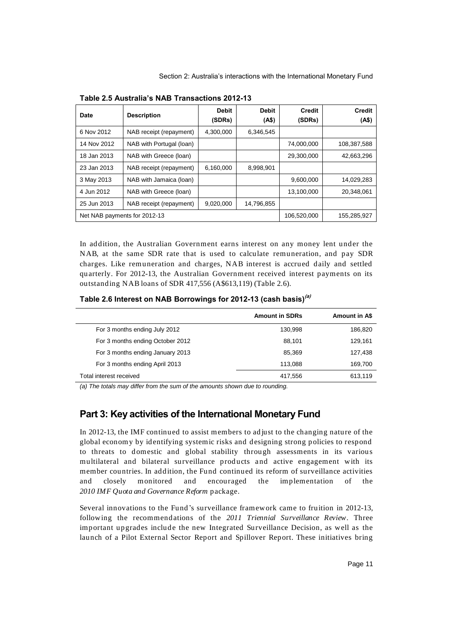| <b>Date</b>                  | <b>Description</b>       | <b>Debit</b><br>(SDRs) | <b>Debit</b><br>(AS) | <b>Credit</b><br>(SDRs) | <b>Credit</b><br>(4\$) |
|------------------------------|--------------------------|------------------------|----------------------|-------------------------|------------------------|
| 6 Nov 2012                   | NAB receipt (repayment)  | 4,300,000              | 6,346,545            |                         |                        |
| 14 Nov 2012                  | NAB with Portugal (loan) |                        |                      | 74,000,000              | 108,387,588            |
| 18 Jan 2013                  | NAB with Greece (loan)   |                        |                      | 29,300,000              | 42,663,296             |
| 23 Jan 2013                  | NAB receipt (repayment)  | 6,160,000              | 8,998,901            |                         |                        |
| 3 May 2013                   | NAB with Jamaica (loan)  |                        |                      | 9,600,000               | 14,029,283             |
| 4 Jun 2012                   | NAB with Greece (loan)   |                        |                      | 13,100,000              | 20,348,061             |
| 25 Jun 2013                  | NAB receipt (repayment)  | 9,020,000              | 14,796,855           |                         |                        |
| Net NAB payments for 2012-13 |                          |                        |                      | 106,520,000             | 155,285,927            |

**Table 2.5 Australia's NAB Transactions 2012-13**

In addition, the Australian Government earns interest on any money lent under the NAB, at the same SDR rate that is used to calculate remuneration, and pay SDR charges. Like remuneration and charges, NAB interest is accrued daily and settled quarterly. For 2012-13, the Australian Government received interest payments on its outstanding NAB loans of SDR 417,556 (A\$613,119) (Table 2.6).

**Table 2.6 Interest on NAB Borrowings for 2012-13 (cash basis)(a)**

|                                  | <b>Amount in SDRs</b> | <b>Amount in A\$</b> |
|----------------------------------|-----------------------|----------------------|
| For 3 months ending July 2012    | 130,998               | 186,820              |
| For 3 months ending October 2012 | 88.101                | 129.161              |
| For 3 months ending January 2013 | 85.369                | 127,438              |
| For 3 months ending April 2013   | 113.088               | 169.700              |
| Total interest received          | 417,556               | 613.119              |

*(a) The totals may differ from the sum of the amounts shown due to rounding.*

## **Part 3: Key activities of the International Monetary Fund**

In 2012-13, the IMF continued to assist members to ad just to the changing nature of the global economy by identifying systemic risks and designing strong policies to respond to threats to domestic and global stability through assessments in its various multilateral and bilateral surveillance products and active engagement with its member countries. In addition, the Fund continued its reform of surveillance activities and closely monitored and encouraged the implementation of the *2010 IMF Quota and Governance Reform* package.

Several innovations to the Fund's surveillance framework came to fruition in 2012-13, following the recommendations of the *2011 Triennial Surveillance Review*. Three important upgrades include the new Integrated Surveillance Decision, as well as the launch of a Pilot External Sector Report and Spillover Report. These initiatives bring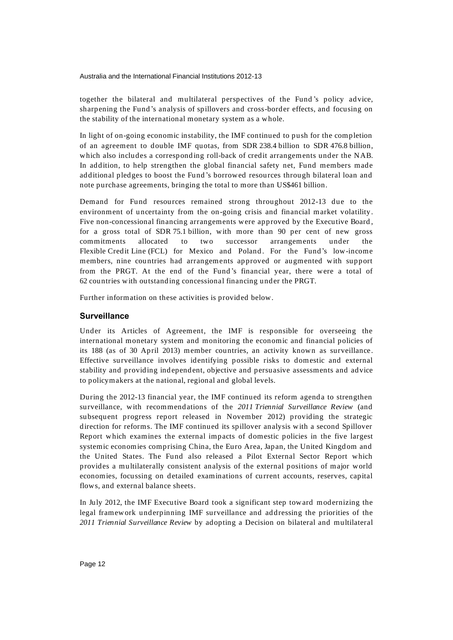together the bilateral and multilateral perspectives of the Fund 's policy advice, sharpening the Fund 's analysis of spillovers and cross-border effects, and focusing on the stability of the international monetary system as a whole.

In light of on-going economic instability, the IMF continued to push for the completion of an agreement to double IMF quotas, from SDR 238.4 billion to SDR 476.8 billion, which also includes a corresponding roll-back of credit arrangements under the NAB. In addition, to help strengthen the global financial safety net, Fund members made additional pledges to boost the Fund 's borrowed resources through bilateral loan and note purchase agreements, bringing the total to more than US\$461 billion.

Demand for Fund resources remained strong throughout 2012-13 due to the environment of uncertainty from the on-going crisis and financial market volatility. Five non-concessional financing arrangements were approved by the Executive Board , for a gross total of SDR 75.1 billion, with more than 90 per cent of new gross commitments allocated to two successor arrangements under the Flexible Credit Line (FCL) for Mexico and Poland . For the Fund's low-income members, nine countries had arrangements approved or augmented with support from the PRGT. At the end of the Fund 's financial year, there were a total of 62 countries with outstanding concessional financing under the PRGT.

Further information on these activities is provided below.

## **Surveillance**

Under its Articles of Agreement, the IMF is responsible for overseeing the international monetary system and monitoring the economic and financial policies of its 188 (as of 30 April 2013) member countries, an activity known as surveillance. Effective surveillance involves identifying possible risks to domestic and external stability and providing ind ependent, objective and persuasive assessments and advice to policymakers at the national, regional and global levels.

During the 2012-13 financial year, the IMF continued its reform agenda to strengthen surveillance, with recommend ations of the *2011 Triennial Surveillance Review* (and subsequent progress report released in November 2012) providing the strategic direction for reforms. The IMF continued its spillover analysis with a second Spillover Report which examines the external impacts of domestic policies in the five largest systemic economies comprising China, the Euro Area, Japan, the United Kingd om and the United States. The Fund also released a Pilot External Sector Report which provides a multilaterally consistent analysis of the external positions of major world economies, focussing on detailed examinations of current accounts, reserves, capital flows, and external balance sheets.

In July 2012, the IMF Executive Board took a significant step toward modernizing the legal framework underpinning IMF surveillance and addressing the priorities of the *2011 Triennial Surveillance Review* by adopting a Decision on bilateral and multilateral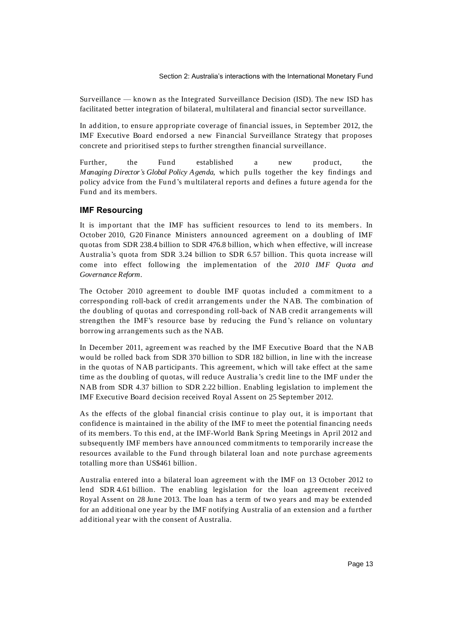Surveillance — known as the Integrated Surveillance Decision (ISD). The new ISD has facilitated better integration of bilateral, multilateral and financial sector surveillance.

In add ition, to ensure appropriate coverage of financial issues, in September 2012, the IMF Executive Board end orsed a new Financial Surveillance Strategy that proposes concrete and prioritised steps to further strengthen financial surveillance.

Further, the Fund established a new product, the *Managing Director's Global Policy Agenda*, which pulls together the key findings and policy advice from the Fund's multilateral reports and defines a future agenda for the Fund and its members.

## **IMF Resourcing**

It is important that the IMF has sufficient resources to lend to its members. In October 2010, G20 Finance Ministers announced agreement on a doubling of IMF quotas from SDR 238.4 billion to SDR 476.8 billion, which when effective, will increase Australia's quota from SDR 3.24 billion to SDR 6.57 billion. This quota increase will come into effect following the implementation of the *2010 IMF Quota and Governance Reform.*

The October 2010 agreement to double IMF quotas included a commitment to a corresponding roll-back of credit arrangements under the NAB. The combination of the doubling of quotas and corresponding roll-back of NAB credit arrangements will strengthen the IMF's resource base by reducing the Fund 's reliance on voluntary borrowing arrangements such as the NAB.

In December 2011, agreement was reached by the IMF Executive Board that the NAB would be rolled back from SDR 370 billion to SDR 182 billion, in line with the increase in the quotas of NAB participants. This agreement, which will take effect at the same time as the doubling of quotas, will reduce Australia's credit line to the IMF under the NAB from SDR 4.37 billion to SDR 2.22 billion. Enabling legislation to implement the IMF Executive Board decision received Royal Assent on 25 September 2012.

As the effects of the global financial crisis continue to play out, it is important that confidence is maintained in the ability of the IMF to meet the potential financing needs of its members. To this end , at the IMF-World Bank Spring Meetings in April 2012 and subsequently IMF members have announced commitments to temporarily increase the resources available to the Fund through bilateral loan and note purchase agreements totalling more than US\$461 billion.

Australia entered into a bilateral loan agreement with the IMF on 13 October 2012 to lend SDR 4.61 billion. The enabling legislation for the loan agreement received Royal Assent on 28 June 2013. The loan has a term of two years and may be extended for an additional one year by the IMF notifying Australia of an extension and a further additional year with the consent of Australia.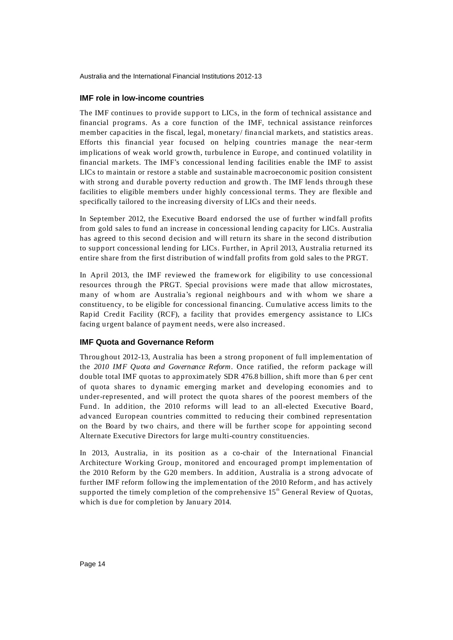### **IMF role in low-income countries**

The IMF continues to provide support to LICs, in the form of technical assistance and financial programs. As a core function of the IMF, technical assistance reinforces member capacities in the fiscal, legal, monetary/ financial markets, and statistics areas. Efforts this financial year focused on helping countries manage the near-term implications of weak world growth, turbulence in Europe, and continued volatility in financial markets. The IMF's concessional lending facilities enable the IMF to assist LICs to maintain or restore a stable and sustainable macroeconomic position consistent with strong and durable poverty reduction and growth. The IMF lends through these facilities to eligible members under highly concessional terms. They are flexible and specifically tailored to the increasing diversity of LICs and their needs.

In September 2012, the Executive Board end orsed the use of further windfall profits from gold sales to fund an increase in concessional lending ca pacity for LICs. Australia has agreed to this second decision and will return its share in the second distribution to support concessional lending for LICs. Further, in April 2013, Australia returned its entire share from the first distribution of windfall profits from gold sales to the PRGT.

In April 2013, the IMF reviewed the framework for eligibility to use concessional resources through the PRGT. Special provisions were made that allow microstates, many of whom are Australia's regional neighbours and with whom we share a constituency, to be eligible for concessional financing. Cumulative access limits to the Rapid Credit Facility (RCF), a facility that provides emergency assistance to LICs facing urgent balance of payment needs, were also increased.

## **IMF Quota and Governance Reform**

Throughout 2012-13, Australia has been a strong proponent of full implementation of the *2010 IMF Quota and Governance Reform*. Once ratified, the reform package will double total IMF quotas to approximately SDR 476.8 billion, shift more than 6 per cent of quota shares to dynamic emerging market and developing economies and to under-represented, and will protect the quota shares of the poorest members of the Fund. In addition, the 2010 reforms will lead to an all-elected Executive Board, advanced European countries committed to reducing their combined representation on the Board by two chairs, and there will be further scope for appointing second Alternate Executive Directors for large multi-country constituencies.

In 2013, Australia, in its position as a co-chair of the International Financial Architecture Working Group, monitored and encouraged prompt implementation of the 2010 Reform by the G20 members. In addition, Australia is a strong advocate of further IMF reform following the implementation of the 2010 Reform, and has actively supported the timely completion of the comprehensive  $15<sup>th</sup>$  General Review of Quotas, which is due for completion by January 2014.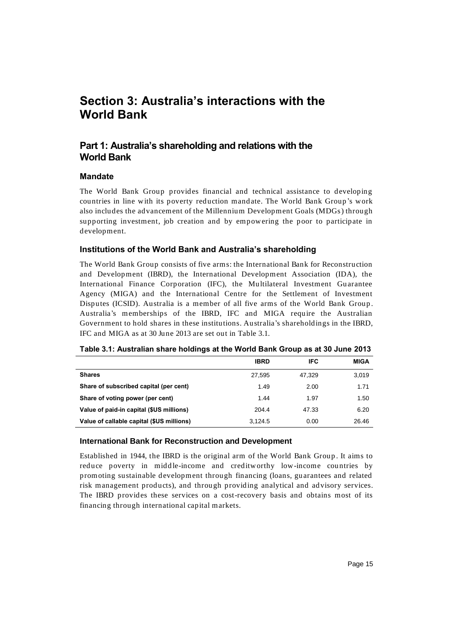# **Section 3: Australia's interactions with the World Bank**

## **Part 1: Australia's shareholding and relations with the World Bank**

## **Mandate**

The World Bank Group provides financial and technical assistance to developing countries in line with its poverty reduction mandate. The World Bank Group's work also includes the advancement of the Millennium Development Goals (MDGs) through supporting investment, job creation and by empowering the poor to participate in development.

## **Institutions of the World Bank and Australia's shareholding**

The World Bank Group consists of five arms: the International Bank for Reconstruction and Development (IBRD), the International Development Association (IDA), the International Finance Corporation (IFC), the Multilateral Investment Guarantee Agency (MIGA) and the International Centre for the Settlement of Investment Disputes (ICSID). Australia is a member of all five arms of the World Bank Group . Australia's memberships of the IBRD, IFC and MIGA require the Australian Government to hold shares in these institutions. Australia's shareholdings in the IBRD, IFC and MIGA as at 30 June 2013 are set out in Table 3.1.

| Table 3.1: Australian share holdings at the World Bank Group as at 30 June 2013 |  |  |  |
|---------------------------------------------------------------------------------|--|--|--|
|                                                                                 |  |  |  |

|                                           | <b>IBRD</b> | <b>IFC</b> | <b>MIGA</b> |
|-------------------------------------------|-------------|------------|-------------|
| <b>Shares</b>                             | 27,595      | 47,329     | 3,019       |
| Share of subscribed capital (per cent)    | 1.49        | 2.00       | 1.71        |
| Share of voting power (per cent)          | 1.44        | 1.97       | 1.50        |
| Value of paid-in capital (\$US millions)  | 204.4       | 47.33      | 6.20        |
| Value of callable capital (\$US millions) | 3.124.5     | 0.00       | 26.46       |

#### **International Bank for Reconstruction and Development**

Established in 1944, the IBRD is the original arm of the World Bank Group . It aims to reduce poverty in middle-income and creditworthy low-income countries by promoting sustainable development through financing (loans, guarantees and related risk management products), and through providing analytical and advisory services. The IBRD provides these services on a cost-recovery basis and obtains most of its financing through international capital markets.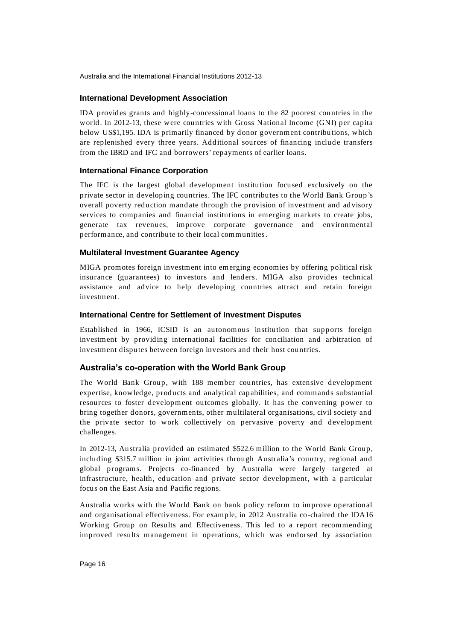## **International Development Association**

IDA provides grants and highly-concessional loans to the 82 poorest countries in the world. In 2012-13, these were countries with Gross National Income (GNI) per capita below US\$1,195. IDA is primarily financed by donor government contributions, which are replenished every three years. Additional sources of financing include transfers from the IBRD and IFC and borrowers' repayments of earlier loans.

## **International Finance Corporation**

The IFC is the largest global development institution focused exclusively on the private sector in developing countries. The IFC contributes to the World Bank Group's overall poverty reduction mandate through the provision of investment and ad visory services to companies and financial institutions in emerging markets to create jobs, generate tax revenues, improve corporate governance and environmental performance, and contribute to their local communities.

## **Multilateral Investment Guarantee Agency**

MIGA promotes foreign investment into emerging economies by offering political risk insurance (guarantees) to investors and lenders. MIGA also provides technical assistance and advice to help developing countries attract and retain foreign investment.

## **International Centre for Settlement of Investment Disputes**

Established in 1966, ICSID is an autonomous institution that supports foreign investment by providing international facilities for conciliation and arbitration of investment disputes between foreign investors and their host countries.

## **Australia's co-operation with the World Bank Group**

The World Bank Group, with 188 member countries, has extensive development expertise, knowledge, products and analytical capabilities, and commands substantial resources to foster development outcomes globally. It has the convening power to bring together donors, governments, other multilateral organisations, civil society and the private sector to work collectively on pervasive poverty and development challenges.

In 2012-13, Australia provided an estimated \$522.6 million to the World Bank Group, including \$315.7 million in joint activities through Australia's country, regional and global programs. Projects co-financed by Australia were largely targeted at infrastructure, health, education and private sector development, with a particular focus on the East Asia and Pacific regions.

Australia works with the World Bank on bank policy reform to improve operational and organisational effectiveness. For example, in 2012 Australia co-chaired the IDA16 Working Group on Results and Effectiveness. This led to a report recommending improved results management in operations, which was endorsed by association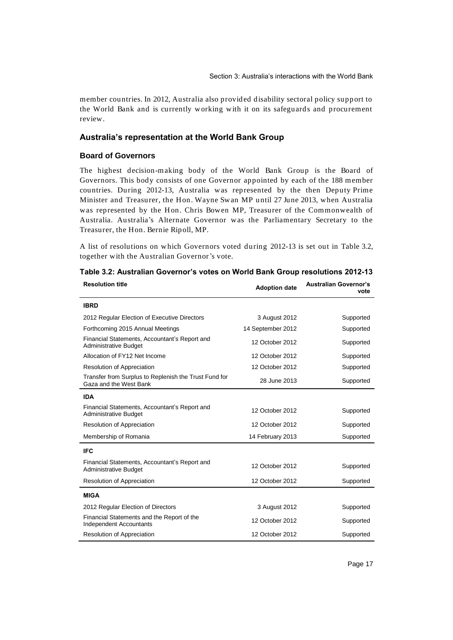member countries. In 2012, Australia also provided disability sectoral policy support to the World Bank and is currently working with it on its safeguards and procurement review.

## **Australia's representation at the World Bank Group**

#### **Board of Governors**

The highest decision-making body of the World Bank Group is the Board of Governors. This body consists of one Governor appointed by each of the 188 member countries. During 2012-13, Australia was represented by the then Deputy Prime Minister and Treasurer, the Hon. Wayne Swan MP until 27 June 2013, when Australia was represented by the Hon. Chris Bowen MP, Treasurer of the Commonwealth of Australia. Australia's Alternate Governor was the Parliamentary Secretary to the Treasurer, the Hon. Bernie Ripoll, MP.

A list of resolutions on which Governors voted during 2012-13 is set out in Table 3.2, together with the Australian Governor's vote.

| <b>Resolution title</b>                                                         | <b>Adoption date</b> | <b>Australian Governor's</b><br>vote |
|---------------------------------------------------------------------------------|----------------------|--------------------------------------|
| <b>IBRD</b>                                                                     |                      |                                      |
| 2012 Regular Election of Executive Directors                                    | 3 August 2012        | Supported                            |
| Forthcoming 2015 Annual Meetings                                                | 14 September 2012    | Supported                            |
| Financial Statements, Accountant's Report and<br>Administrative Budget          | 12 October 2012      | Supported                            |
| Allocation of FY12 Net Income                                                   | 12 October 2012      | Supported                            |
| Resolution of Appreciation                                                      | 12 October 2012      | Supported                            |
| Transfer from Surplus to Replenish the Trust Fund for<br>Gaza and the West Bank | 28 June 2013         | Supported                            |
| <b>IDA</b>                                                                      |                      |                                      |
| Financial Statements, Accountant's Report and<br>Administrative Budget          | 12 October 2012      | Supported                            |
| Resolution of Appreciation                                                      | 12 October 2012      | Supported                            |
| Membership of Romania                                                           | 14 February 2013     | Supported                            |
| <b>IFC</b>                                                                      |                      |                                      |
| Financial Statements, Accountant's Report and<br>Administrative Budget          | 12 October 2012      | Supported                            |
| Resolution of Appreciation                                                      | 12 October 2012      | Supported                            |
| <b>MIGA</b>                                                                     |                      |                                      |
| 2012 Regular Election of Directors                                              | 3 August 2012        | Supported                            |
| Financial Statements and the Report of the<br><b>Independent Accountants</b>    | 12 October 2012      | Supported                            |
| Resolution of Appreciation                                                      | 12 October 2012      | Supported                            |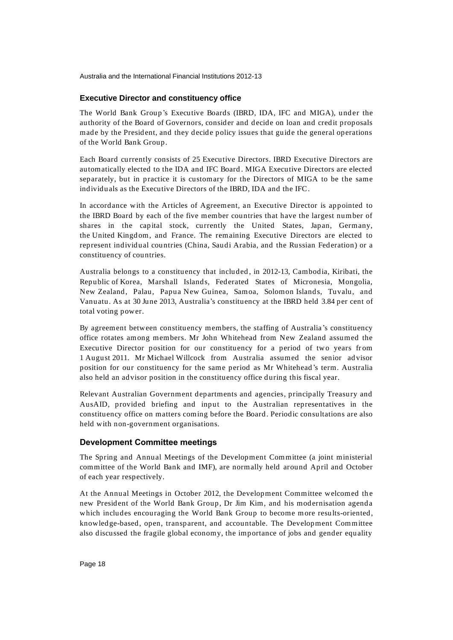### **Executive Director and constituency office**

The World Bank Group's Executive Boards (IBRD, IDA, IFC and MIGA), under the authority of the Board of Governors, consider and decide on loan and credit proposals made by the President, and they decide policy issues that guide the general operations of the World Bank Group.

Each Board currently consists of 25 Executive Directors. IBRD Executive Directors are automatically elected to the IDA and IFC Board . MIGA Executive Directors are elected separately, but in practice it is customary for the Directors of MIGA to be the same individuals as the Executive Directors of the IBRD, IDA and the IFC.

In accordance with the Articles of Agreement, an Executive Director is appointed to the IBRD Board by each of the five member countries that have the largest number of shares in the capital stock, currently the United States, Japan, Germany, the United Kingd om, and France. The remaining Executive Directors are elected to represent individual countries (China, Saudi Arabia, and the Russian Federation) or a constituency of countries.

Australia belongs to a constituency that included , in 2012-13, Cambodia, Kiribati, the Republic of Korea, Marshall Islands, Federated States of Micronesia, Mongolia, New Zealand, Palau, Papua New Guinea, Samoa, Solomon Islands, Tuvalu, and Vanuatu. As at 30 June 2013, Australia's constituency at the IBRD held 3.84 per cent of total voting power.

By agreement between constituency members, the staffing of Australia 's constituency office rotates among members. Mr John Whitehead from New Zealand assumed the Executive Director position for our constituency for a period of two years from 1 August 2011. Mr Michael Willcock from Australia assumed the senior ad visor position for our constituency for the same period as Mr Whitehead's term. Australia also held an advisor position in the constituency office during this fiscal year.

Relevant Australian Government departments and agencies, principally Treasury and AusAID, provided briefing and input to the Australian representatives in the constituency office on matters coming before the Board. Periodic consultations are also held with non-government organisations.

## **Development Committee meetings**

The Spring and Annual Meetings of the Development Committee (a joint ministerial committee of the World Bank and IMF), are normally held around April and October of each year respectively.

At the Annual Meetings in October 2012, the Development Committee welcomed the new President of the World Bank Group, Dr Jim Kim, and his modernisation agenda which includes encouraging the World Bank Group to become more results-oriented, knowledge-based, open, transparent, and accountable. The Development Committee also discussed the fragile global economy, the importance of jobs and gender equality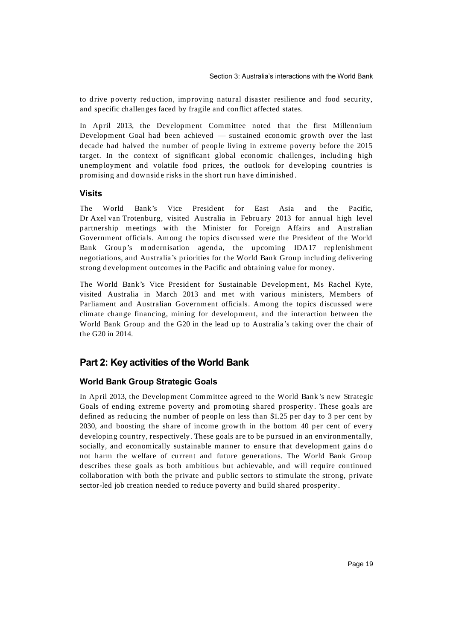to drive poverty reduction, improving natural disaster resilience and food security, and specific challenges faced by fragile and conflict affected states.

In April 2013, the Development Committee noted that the first Millennium Development Goal had been achieved — sustained economic growth over the last decade had halved the number of people living in extreme poverty before the 2015 target. In the context of significant global economic challenges, including high unemployment and volatile food prices, the outlook for developing countries is promising and downside risks in the short run have diminished .

## **Visits**

The World Bank's Vice President for East Asia and the Pacific, Dr Axel van Trotenburg, visited Australia in February 2013 for annual high level partnership meetings with the Minister for Foreign Affairs and Australian Government officials. Among the topics discussed were the President of the World Bank Group's modernisation agenda, the upcoming IDA17 replenishment negotiations, and Australia's priorities for the World Bank Group including delivering strong development outcomes in the Pacific and obtaining value for money.

The World Bank's Vice President for Sustainable Development, Ms Rachel Kyte, visited Australia in March 2013 and met with various ministers, Members of Parliament and Australian Government officials. Among the topics discussed were climate change financing, mining for development, and the interaction between the World Bank Group and the G20 in the lead up to Australia 's taking over the chair of the G20 in 2014.

## **Part 2: Key activities of the World Bank**

## **World Bank Group Strategic Goals**

In April 2013, the Development Committee agreed to the World Bank 's new Strategic Goals of ending extreme poverty and promoting shared prosperity. These goals are defined as reducing the number of people on less than \$1.25 per day to 3 per cent by 2030, and boosting the share of income growth in the bottom 40 per cent of ever y developing country, respectively. These goals are to be pursued in an environmentally, socially, and economically sustainable manner to ensure that development gains do not harm the welfare of current and future generations. The World Bank Group describes these goals as both ambitious but achievable, and will require continued collaboration with both the private and public sectors to stimulate the strong, private sector-led job creation needed to reduce poverty and build shared prosperity .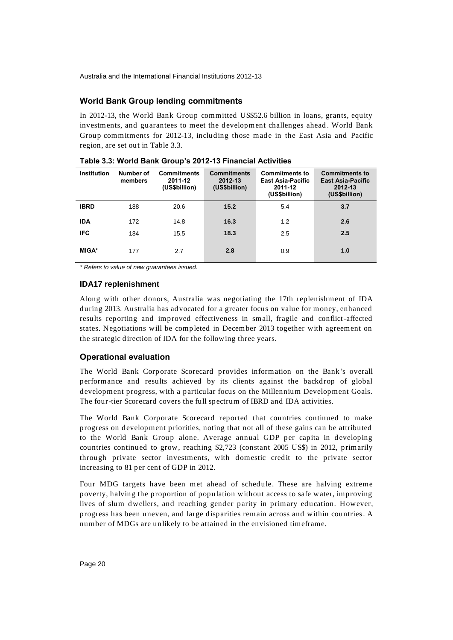## **World Bank Group lending commitments**

In 2012-13, the World Bank Group committed US\$52.6 billion in loans, grants, equity investments, and guarantees to meet the development challenges ahead . World Bank Group commitments for 2012-13, including those made in the East Asia and Pacific region, are set out in Table 3.3.

| <b>Institution</b> | Number of<br>members | <b>Commitments</b><br>2011-12<br>(US\$billion) | <b>Commitments</b><br>2012-13<br>(US\$billion) | <b>Commitments to</b><br><b>East Asia-Pacific</b><br>2011-12<br>(US\$billion) | <b>Commitments to</b><br><b>East Asia-Pacific</b><br>2012-13<br>(US\$billion) |
|--------------------|----------------------|------------------------------------------------|------------------------------------------------|-------------------------------------------------------------------------------|-------------------------------------------------------------------------------|
| <b>IBRD</b>        | 188                  | 20.6                                           | 15.2                                           | 5.4                                                                           | 3.7                                                                           |
| <b>IDA</b>         | 172                  | 14.8                                           | 16.3                                           | 1.2                                                                           | 2.6                                                                           |
| <b>IFC</b>         | 184                  | 15.5                                           | 18.3                                           | 2.5                                                                           | 2.5                                                                           |
| <b>MIGA*</b>       | 177                  | 2.7                                            | 2.8                                            | 0.9                                                                           | 1.0                                                                           |

**Table 3.3: World Bank Group's 2012-13 Financial Activities**

*\* Refers to value of new guarantees issued.*

## **IDA17 replenishment**

Along with other donors, Australia was negotiating the 17th replenishment of IDA during 2013. Australia has advocated for a greater focus on value for money, enhanced results reporting and improved effectiveness in small, fragile and conflict-affected states. Negotiations will be completed in December 2013 together with agreement on the strategic direction of IDA for the following three years.

## **Operational evaluation**

The World Bank Corporate Scorecard provides information on the Bank 's overall performance and results achieved by its clients against the backdrop of global development progress, with a particular focus on the Millennium Development Goals. The four-tier Scorecard covers the full spectrum of IBRD and IDA activities.

The World Bank Corporate Scorecard reported that countries continued to make progress on development priorities, noting that not all of these gains can be attributed to the World Bank Group alone. Average annual GDP per capita in developing countries continued to grow, reaching \$2,723 (constant 2005 US\$) in 2012, primarily through private sector investments, with domestic credit to the private sector increasing to 81 per cent of GDP in 2012.

Four MDG targets have been met ahead of schedule. These are halving extreme poverty, halving the proportion of population without access to safe water, improving lives of slum dwellers, and reaching gender parity in primary education. However, progress has been uneven, and large disparities remain across and within countries. A number of MDGs are unlikely to be attained in the envisioned timeframe.